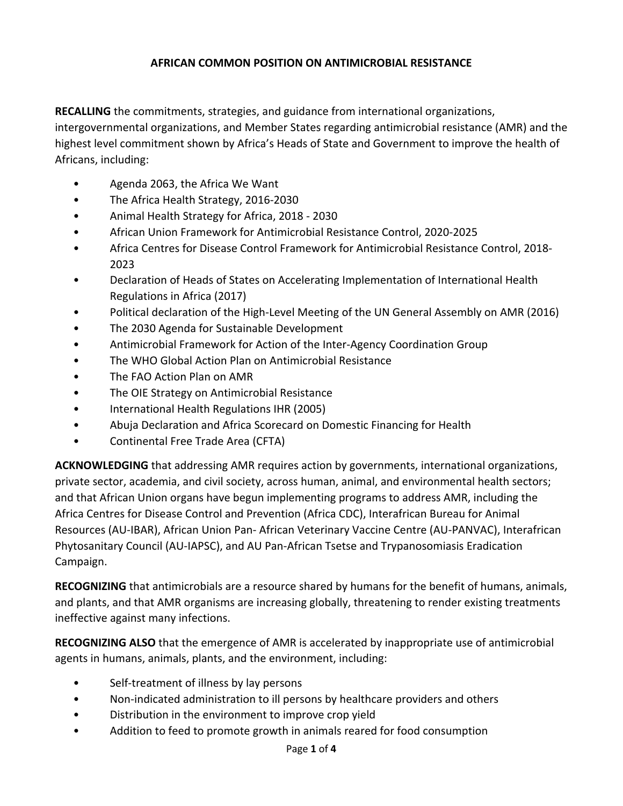## **AFRICAN COMMON POSITION ON ANTIMICROBIAL RESISTANCE**

**RECALLING** the commitments, strategies, and guidance from international organizations, intergovernmental organizations, and Member States regarding antimicrobial resistance (AMR) and the highest level commitment shown by Africa's Heads of State and Government to improve the health of Africans, including:

- Agenda 2063, the Africa We Want
- The Africa Health Strategy, 2016-2030
- Animal Health Strategy for Africa, 2018 2030
- African Union Framework for Antimicrobial Resistance Control, 2020-2025
- Africa Centres for Disease Control Framework for Antimicrobial Resistance Control, 2018- 2023
- Declaration of Heads of States on Accelerating Implementation of International Health Regulations in Africa (2017)
- Political declaration of the High-Level Meeting of the UN General Assembly on AMR (2016)
- The 2030 Agenda for Sustainable Development
- Antimicrobial Framework for Action of the Inter-Agency Coordination Group
- The WHO Global Action Plan on Antimicrobial Resistance
- The FAO Action Plan on AMR
- The OIE Strategy on Antimicrobial Resistance
- International Health Regulations IHR (2005)
- Abuja Declaration and Africa Scorecard on Domestic Financing for Health
- Continental Free Trade Area (CFTA)

**ACKNOWLEDGING** that addressing AMR requires action by governments, international organizations, private sector, academia, and civil society, across human, animal, and environmental health sectors; and that African Union organs have begun implementing programs to address AMR, including the Africa Centres for Disease Control and Prevention (Africa CDC), Interafrican Bureau for Animal Resources (AU-IBAR), African Union Pan- African Veterinary Vaccine Centre (AU-PANVAC), Interafrican Phytosanitary Council (AU-IAPSC), and AU Pan-African Tsetse and Trypanosomiasis Eradication Campaign.

**RECOGNIZING** that antimicrobials are a resource shared by humans for the benefit of humans, animals, and plants, and that AMR organisms are increasing globally, threatening to render existing treatments ineffective against many infections.

**RECOGNIZING ALSO** that the emergence of AMR is accelerated by inappropriate use of antimicrobial agents in humans, animals, plants, and the environment, including:

- Self-treatment of illness by lay persons
- Non-indicated administration to ill persons by healthcare providers and others
- Distribution in the environment to improve crop yield
- Addition to feed to promote growth in animals reared for food consumption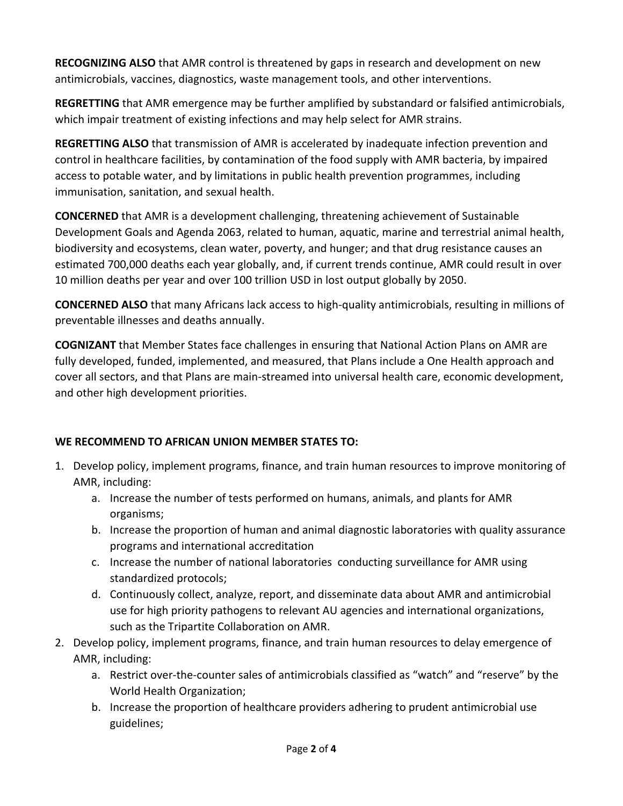**RECOGNIZING ALSO** that AMR control is threatened by gaps in research and development on new antimicrobials, vaccines, diagnostics, waste management tools, and other interventions.

**REGRETTING** that AMR emergence may be further amplified by substandard or falsified antimicrobials, which impair treatment of existing infections and may help select for AMR strains.

**REGRETTING ALSO** that transmission of AMR is accelerated by inadequate infection prevention and control in healthcare facilities, by contamination of the food supply with AMR bacteria, by impaired access to potable water, and by limitations in public health prevention programmes, including immunisation, sanitation, and sexual health.

**CONCERNED** that AMR is a development challenging, threatening achievement of Sustainable Development Goals and Agenda 2063, related to human, aquatic, marine and terrestrial animal health, biodiversity and ecosystems, clean water, poverty, and hunger; and that drug resistance causes an estimated 700,000 deaths each year globally, and, if current trends continue, AMR could result in over 10 million deaths per year and over 100 trillion USD in lost output globally by 2050.

**CONCERNED ALSO** that many Africans lack access to high-quality antimicrobials, resulting in millions of preventable illnesses and deaths annually.

**COGNIZANT** that Member States face challenges in ensuring that National Action Plans on AMR are fully developed, funded, implemented, and measured, that Plans include a One Health approach and cover all sectors, and that Plans are main-streamed into universal health care, economic development, and other high development priorities.

## **WE RECOMMEND TO AFRICAN UNION MEMBER STATES TO:**

- 1. Develop policy, implement programs, finance, and train human resources to improve monitoring of AMR, including:
	- a. Increase the number of tests performed on humans, animals, and plants for AMR organisms;
	- b. Increase the proportion of human and animal diagnostic laboratories with quality assurance programs and international accreditation
	- c. Increase the number of national laboratories conducting surveillance for AMR using standardized protocols;
	- d. Continuously collect, analyze, report, and disseminate data about AMR and antimicrobial use for high priority pathogens to relevant AU agencies and international organizations, such as the Tripartite Collaboration on AMR.
- 2. Develop policy, implement programs, finance, and train human resources to delay emergence of AMR, including:
	- a. Restrict over-the-counter sales of antimicrobials classified as "watch" and "reserve" by the World Health Organization;
	- b. Increase the proportion of healthcare providers adhering to prudent antimicrobial use guidelines;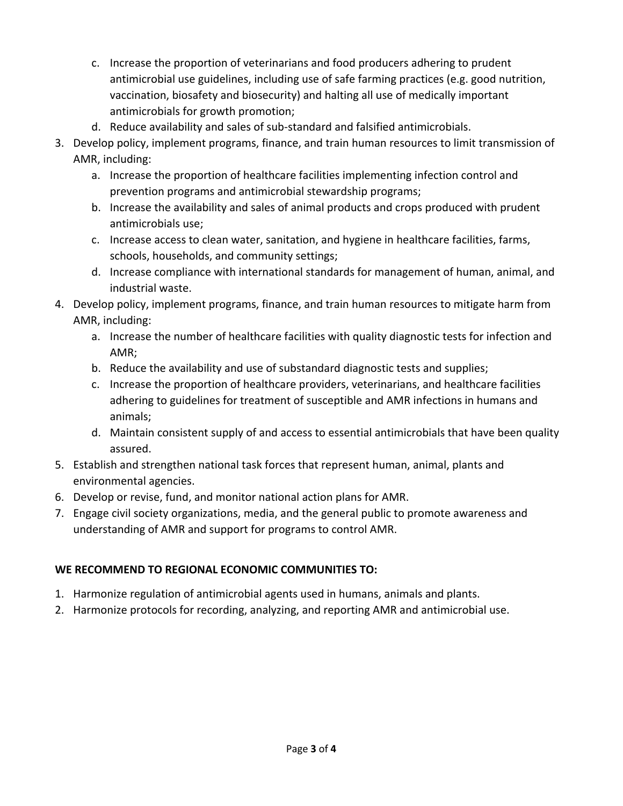- c. Increase the proportion of veterinarians and food producers adhering to prudent antimicrobial use guidelines, including use of safe farming practices (e.g. good nutrition, vaccination, biosafety and biosecurity) and halting all use of medically important antimicrobials for growth promotion;
- d. Reduce availability and sales of sub-standard and falsified antimicrobials.
- 3. Develop policy, implement programs, finance, and train human resources to limit transmission of AMR, including:
	- a. Increase the proportion of healthcare facilities implementing infection control and prevention programs and antimicrobial stewardship programs;
	- b. Increase the availability and sales of animal products and crops produced with prudent antimicrobials use;
	- c. Increase access to clean water, sanitation, and hygiene in healthcare facilities, farms, schools, households, and community settings;
	- d. Increase compliance with international standards for management of human, animal, and industrial waste.
- 4. Develop policy, implement programs, finance, and train human resources to mitigate harm from AMR, including:
	- a. Increase the number of healthcare facilities with quality diagnostic tests for infection and AMR;
	- b. Reduce the availability and use of substandard diagnostic tests and supplies;
	- c. Increase the proportion of healthcare providers, veterinarians, and healthcare facilities adhering to guidelines for treatment of susceptible and AMR infections in humans and animals;
	- d. Maintain consistent supply of and access to essential antimicrobials that have been quality assured.
- 5. Establish and strengthen national task forces that represent human, animal, plants and environmental agencies.
- 6. Develop or revise, fund, and monitor national action plans for AMR.
- 7. Engage civil society organizations, media, and the general public to promote awareness and understanding of AMR and support for programs to control AMR.

## **WE RECOMMEND TO REGIONAL ECONOMIC COMMUNITIES TO:**

- 1. Harmonize regulation of antimicrobial agents used in humans, animals and plants.
- 2. Harmonize protocols for recording, analyzing, and reporting AMR and antimicrobial use.